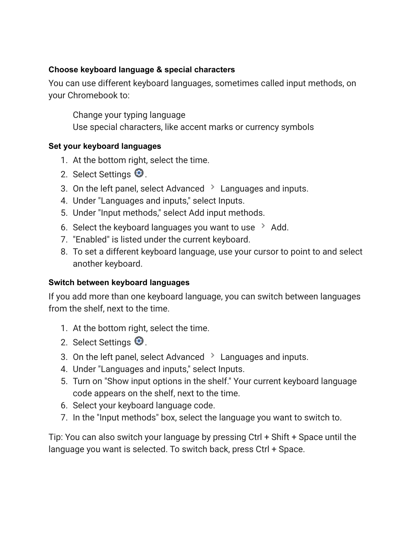## **Choose keyboard language & special characters**

You can use different keyboard languages, sometimes called input methods, on your Chromebook to:

Change your typing language Use special characters, like accent marks or currency symbols

## **Set your keyboard languages**

- 1. At the bottom right, select the time.
- 2. Select Settings  $\mathbf{\Theta}$ .
- 3. On the left panel, select Advanced  $\geq$  Languages and inputs.
- 4. Under "Languages and inputs," select Inputs.
- 5. Under "Input methods," select Add input methods.
- 6. Select the keyboard languages you want to use  $\rightarrow$  Add.
- 7. "Enabled" is listed under the current keyboard.
- 8. To set a different keyboard language, use your cursor to point to and select another keyboard.

## **Switch between keyboard languages**

If you add more than one keyboard language, you can switch between languages from the shelf, next to the time.

- 1. At the bottom right, select the time.
- 2. Select Settings  $\bigcirc$ .
- 3. On the left panel, select Advanced  $\rightarrow$  Languages and inputs.
- 4. Under "Languages and inputs," select Inputs.
- 5. Turn on "Show input options in the shelf." Your current keyboard language code appears on the shelf, next to the time.
- 6. Select your keyboard language code.
- 7. In the "Input methods" box, select the language you want to switch to.

Tip: You can also switch your language by pressing Ctrl + Shift + Space until the language you want is selected. To switch back, press Ctrl + Space.